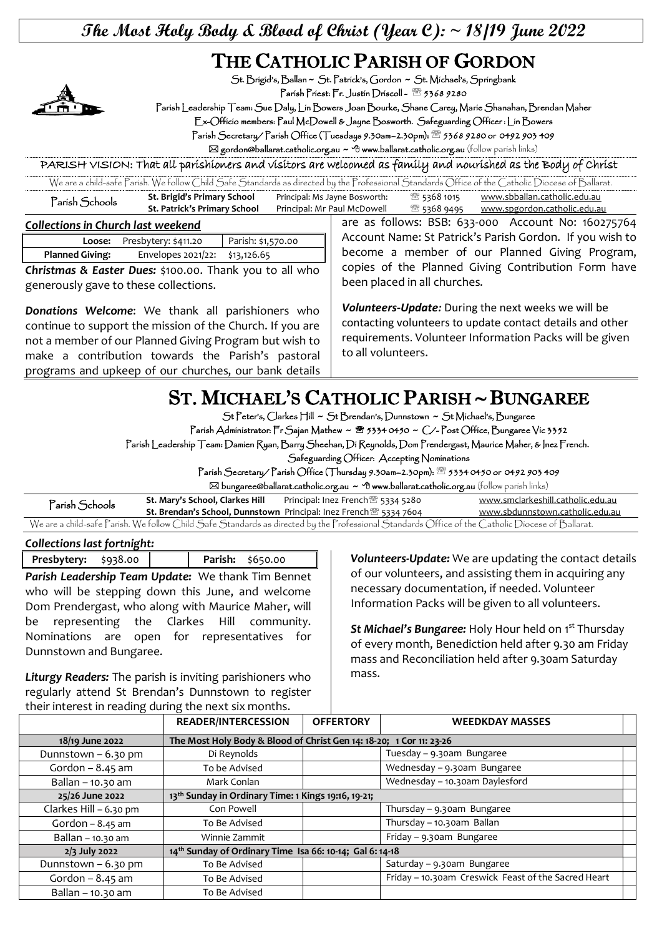## **The Most Holy Body & Blood of Christ (Year C): ~ 18/19 June 2022**

## THE CATHOLIC PARISH OF GORDON



St. Brigid's, Ballan ~ St. Patrick's, Gordon ~ St. Michael's, Springbank

Parish Priest: Fr. Justin Driscoll - 2 5368 9280

Parish Leadership Team: Sue Daly, Lin Bowers Joan Bourke, Shane Carey, Marie Shanahan, Brendan Maher

Ex-Officio members: Paul McDowell & Jayne Bosworth. Safeguarding Officer : Lin Bowers

Parish Secretary/ Parish Office (Tuesdays 9.30am–2.30pm): 5368 9280 or 0492 903 409

 $\boxtimes$  gordon@ballarat.catholic.org.au ~  $\bigcirc$  www.ballarat.catholic.org.au (follow parish links)

PARISH VISION: That all parishioners and visitors are welcomed as family and nourished as the Body of Christ

| We are a child-safe Parish. We follow Child Safe Standards as directed by the Professional Standards Office of the Catholic Diocese of Ballarat. |                              |                               |                |                              |  |
|--------------------------------------------------------------------------------------------------------------------------------------------------|------------------------------|-------------------------------|----------------|------------------------------|--|
| Parish Schools                                                                                                                                   | St. Brigid's Primary School  | Principal: Ms Jayne Bosworth: | ‴্রী 5368 1015 | www.sbballan.catholic.edu.au |  |
|                                                                                                                                                  | St. Patrick's Primary School | Principal: Mr Paul McDowell   | ී 5368 9495    | www.spgordon.catholic.edu.au |  |

*Collections in Church last weekend* 

|  |                        | Loose: Presbytery: \$411.20    | Parish: \$1,570.00 |  |
|--|------------------------|--------------------------------|--------------------|--|
|  | <b>Planned Giving:</b> | Envelopes 2021/22: \$13,126.65 |                    |  |
|  |                        |                                |                    |  |

*Christmas & Easter Dues:* \$100.00. Thank you to all who generously gave to these collections.

*Donations Welcome*: We thank all parishioners who continue to support the mission of the Church. If you are not a member of our Planned Giving Program but wish to make a contribution towards the Parish's pastoral programs and upkeep of our churches, our bank details

are as follows: BSB: 633-000 Account No: 160275764 Account Name: St Patrick's Parish Gordon. If you wish to become a member of our Planned Giving Program, copies of the Planned Giving Contribution Form have been placed in all churches.

*Volunteers-Update:* During the next weeks we will be contacting volunteers to update contact details and other requirements. Volunteer Information Packs will be given to all volunteers.

## ST. MICHAEL'S CATHOLIC PARISH ~ BUNGAREE

St Peter's, Clarkes Hill ~ St Brendan's, Dunnstown ~ St Michael's, Bungaree

Parish Administrator: Fr Sajan Mathew ~ <sup>8</sup> 5334 0450 ~ C/-Post Office, Bungaree Vic 3352

Parish Leadership Team: Damien Ryan, Barry Sheehan, Di Reynolds, Dom Prendergast, Maurice Maher, & Inez French.

Safeguarding Officer: Accepting Nominations

Parish Secretary/ Parish Office (Thursday 9.30am–2.30pm): 5334 0450 or 0492 903 409

bungaree@ballarat.catholic.org.au ~ www.ballarat.catholic.org.au (follow parish links)

| Parish Schools                                                                                                                                   | St. Mary's School, Clarkes Hill | Principal: Inez French <sup>38</sup> 5334 5280                                       | www.smclarkeshill.catholic.edu.au |  |  |
|--------------------------------------------------------------------------------------------------------------------------------------------------|---------------------------------|--------------------------------------------------------------------------------------|-----------------------------------|--|--|
|                                                                                                                                                  |                                 | <b>St. Brendan's School, Dunnstown</b> Principal: Inez French <sup>3</sup> 5334 7604 | www.sbdunnstown.catholic.edu.au   |  |  |
| We are a child-safe Parish. We follow Child Safe Standards as directed by the Professional Standards Office of the Catholic Diocese of Ballarat. |                                 |                                                                                      |                                   |  |  |

*Collections last fortnight:* 

**Presbytery:** \$938.00 **Parish:** \$650.00

*Parish Leadership Team Update:* We thank Tim Bennet who will be stepping down this June, and welcome Dom Prendergast, who along with Maurice Maher, will be representing the Clarkes Hill community. Nominations are open for representatives for Dunnstown and Bungaree.

*Liturgy Readers:* The parish is inviting parishioners who regularly attend St Brendan's Dunnstown to register their interest in reading during the next six months.

*Volunteers-Update:* We are updating the contact details of our volunteers, and assisting them in acquiring any necessary documentation, if needed. Volunteer Information Packs will be given to all volunteers.

*St Michael's Bungaree:* Holy Hour held on 1 st Thursday of every month, Benediction held after 9.30 am Friday mass and Reconciliation held after 9.30am Saturday mass.

|                        | <b>READER/INTERCESSION</b>                                          | <b>OFFERTORY</b> | <b>WEEDKDAY MASSES</b>                              |  |
|------------------------|---------------------------------------------------------------------|------------------|-----------------------------------------------------|--|
| 18/19 June 2022        | The Most Holy Body & Blood of Christ Gen 14: 18-20; 1 Cor 11: 23-26 |                  |                                                     |  |
| Dunnstown - 6.30 pm    | Di Reynolds                                                         |                  | Tuesday - 9.30am Bungaree                           |  |
| Gordon $-8.45$ am      | To be Advised                                                       |                  | Wednesday - 9.30am Bungaree                         |  |
| Ballan - 10.30 am      | Mark Conlan                                                         |                  | Wednesday - 10.30am Daylesford                      |  |
| 25/26 June 2022        | 13 <sup>th</sup> Sunday in Ordinary Time: 1 Kings 19:16, 19-21;     |                  |                                                     |  |
| Clarkes Hill - 6.30 pm | Con Powell                                                          |                  | Thursday - 9.30am Bungaree                          |  |
| Gordon $-8.45$ am      | To Be Advised                                                       |                  | Thursday - 10.30am Ballan                           |  |
| Ballan - 10.30 am      | Winnie Zammit                                                       |                  | Friday - 9.30am Bungaree                            |  |
| $2/3$ July 2022        | 14th Sunday of Ordinary Time Isa 66: 10-14; Gal 6: 14-18            |                  |                                                     |  |
| Dunnstown - 6.30 pm    | To Be Advised                                                       |                  | Saturday - 9.30am Bungaree                          |  |
| Gordon $-8.45$ am      | To Be Advised                                                       |                  | Friday - 10.30am Creswick Feast of the Sacred Heart |  |
| Ballan - 10.30 am      | To Be Advised                                                       |                  |                                                     |  |